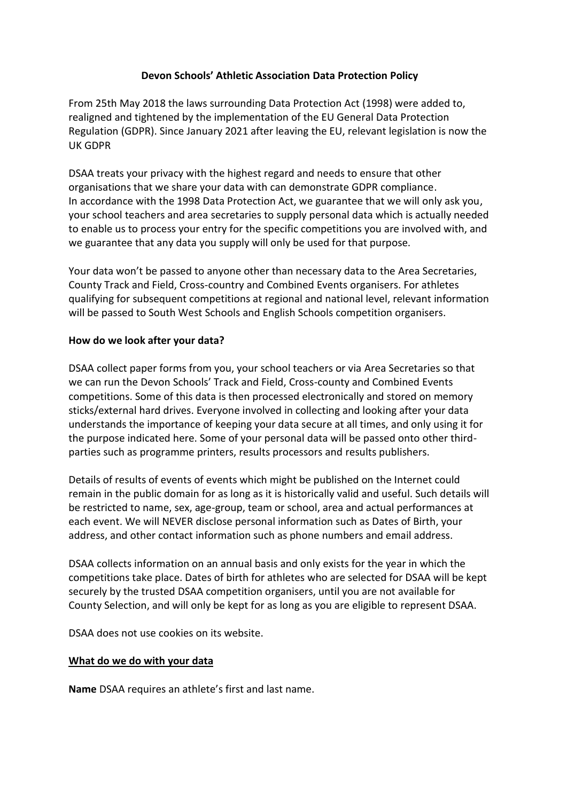## **Devon Schools' Athletic Association Data Protection Policy**

From 25th May 2018 the laws surrounding Data Protection Act (1998) were added to, realigned and tightened by the implementation of the EU General Data Protection Regulation (GDPR). Since January 2021 after leaving the EU, relevant legislation is now the UK GDPR

DSAA treats your privacy with the highest regard and needs to ensure that other organisations that we share your data with can demonstrate GDPR compliance. In accordance with the 1998 Data Protection Act, we guarantee that we will only ask you, your school teachers and area secretaries to supply personal data which is actually needed to enable us to process your entry for the specific competitions you are involved with, and we guarantee that any data you supply will only be used for that purpose.

Your data won't be passed to anyone other than necessary data to the Area Secretaries, County Track and Field, Cross-country and Combined Events organisers. For athletes qualifying for subsequent competitions at regional and national level, relevant information will be passed to South West Schools and English Schools competition organisers.

#### **How do we look after your data?**

DSAA collect paper forms from you, your school teachers or via Area Secretaries so that we can run the Devon Schools' Track and Field, Cross-county and Combined Events competitions. Some of this data is then processed electronically and stored on memory sticks/external hard drives. Everyone involved in collecting and looking after your data understands the importance of keeping your data secure at all times, and only using it for the purpose indicated here. Some of your personal data will be passed onto other thirdparties such as programme printers, results processors and results publishers.

Details of results of events of events which might be published on the Internet could remain in the public domain for as long as it is historically valid and useful. Such details will be restricted to name, sex, age-group, team or school, area and actual performances at each event. We will NEVER disclose personal information such as Dates of Birth, your address, and other contact information such as phone numbers and email address.

DSAA collects information on an annual basis and only exists for the year in which the competitions take place. Dates of birth for athletes who are selected for DSAA will be kept securely by the trusted DSAA competition organisers, until you are not available for County Selection, and will only be kept for as long as you are eligible to represent DSAA.

DSAA does not use cookies on its website.

#### **What do we do with your data**

**Name** DSAA requires an athlete's first and last name.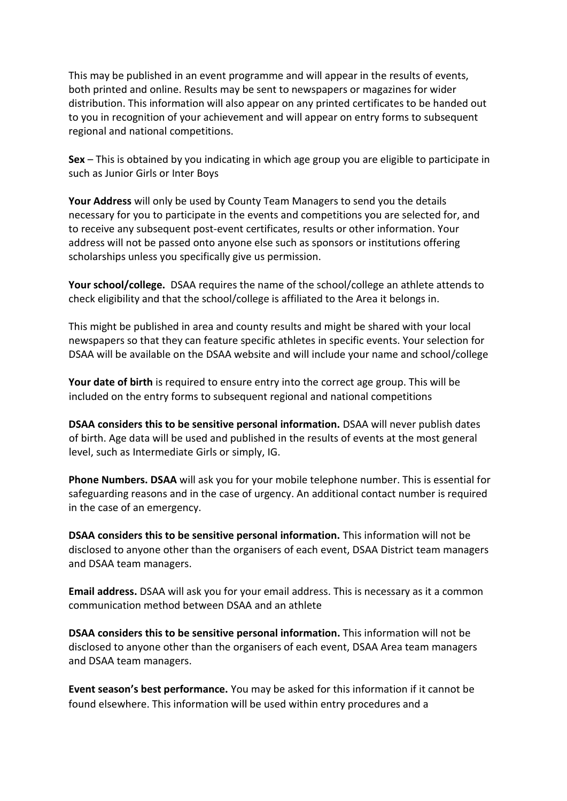This may be published in an event programme and will appear in the results of events, both printed and online. Results may be sent to newspapers or magazines for wider distribution. This information will also appear on any printed certificates to be handed out to you in recognition of your achievement and will appear on entry forms to subsequent regional and national competitions.

**Sex** – This is obtained by you indicating in which age group you are eligible to participate in such as Junior Girls or Inter Boys

**Your Address** will only be used by County Team Managers to send you the details necessary for you to participate in the events and competitions you are selected for, and to receive any subsequent post-event certificates, results or other information. Your address will not be passed onto anyone else such as sponsors or institutions offering scholarships unless you specifically give us permission.

**Your school/college.** DSAA requires the name of the school/college an athlete attends to check eligibility and that the school/college is affiliated to the Area it belongs in.

This might be published in area and county results and might be shared with your local newspapers so that they can feature specific athletes in specific events. Your selection for DSAA will be available on the DSAA website and will include your name and school/college

**Your date of birth** is required to ensure entry into the correct age group. This will be included on the entry forms to subsequent regional and national competitions

**DSAA considers this to be sensitive personal information.** DSAA will never publish dates of birth. Age data will be used and published in the results of events at the most general level, such as Intermediate Girls or simply, IG.

**Phone Numbers. DSAA** will ask you for your mobile telephone number. This is essential for safeguarding reasons and in the case of urgency. An additional contact number is required in the case of an emergency.

**DSAA considers this to be sensitive personal information.** This information will not be disclosed to anyone other than the organisers of each event, DSAA District team managers and DSAA team managers.

**Email address.** DSAA will ask you for your email address. This is necessary as it a common communication method between DSAA and an athlete

**DSAA considers this to be sensitive personal information.** This information will not be disclosed to anyone other than the organisers of each event, DSAA Area team managers and DSAA team managers.

**Event season's best performance.** You may be asked for this information if it cannot be found elsewhere. This information will be used within entry procedures and a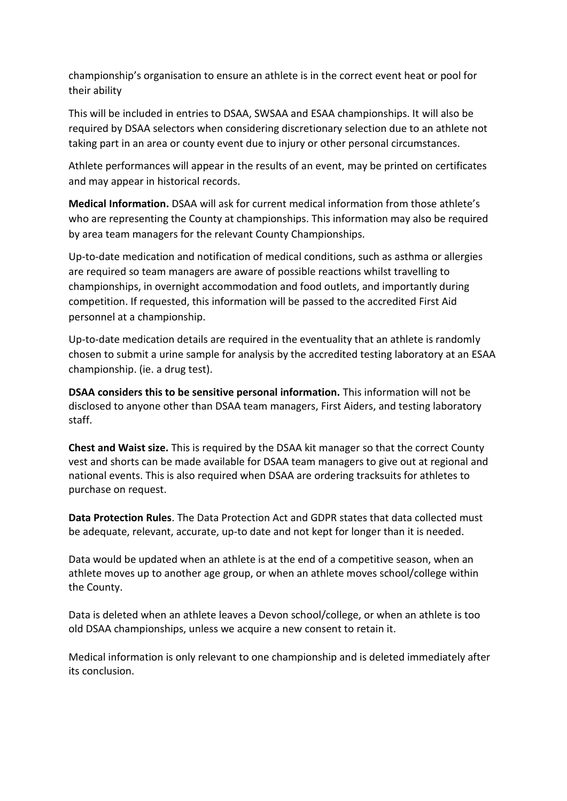championship's organisation to ensure an athlete is in the correct event heat or pool for their ability

This will be included in entries to DSAA, SWSAA and ESAA championships. It will also be required by DSAA selectors when considering discretionary selection due to an athlete not taking part in an area or county event due to injury or other personal circumstances.

Athlete performances will appear in the results of an event, may be printed on certificates and may appear in historical records.

**Medical Information.** DSAA will ask for current medical information from those athlete's who are representing the County at championships. This information may also be required by area team managers for the relevant County Championships.

Up-to-date medication and notification of medical conditions, such as asthma or allergies are required so team managers are aware of possible reactions whilst travelling to championships, in overnight accommodation and food outlets, and importantly during competition. If requested, this information will be passed to the accredited First Aid personnel at a championship.

Up-to-date medication details are required in the eventuality that an athlete is randomly chosen to submit a urine sample for analysis by the accredited testing laboratory at an ESAA championship. (ie. a drug test).

**DSAA considers this to be sensitive personal information.** This information will not be disclosed to anyone other than DSAA team managers, First Aiders, and testing laboratory staff.

**Chest and Waist size.** This is required by the DSAA kit manager so that the correct County vest and shorts can be made available for DSAA team managers to give out at regional and national events. This is also required when DSAA are ordering tracksuits for athletes to purchase on request.

**Data Protection Rules**. The Data Protection Act and GDPR states that data collected must be adequate, relevant, accurate, up-to date and not kept for longer than it is needed.

Data would be updated when an athlete is at the end of a competitive season, when an athlete moves up to another age group, or when an athlete moves school/college within the County.

Data is deleted when an athlete leaves a Devon school/college, or when an athlete is too old DSAA championships, unless we acquire a new consent to retain it.

Medical information is only relevant to one championship and is deleted immediately after its conclusion.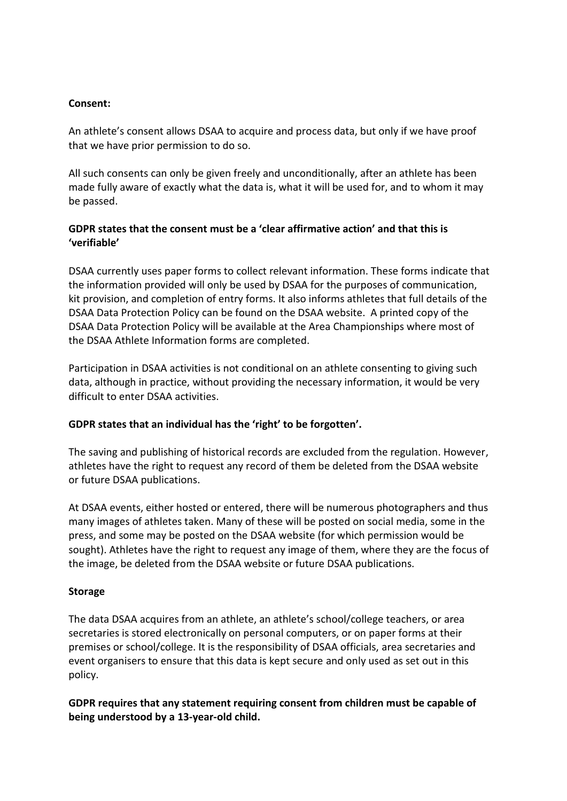### **Consent:**

An athlete's consent allows DSAA to acquire and process data, but only if we have proof that we have prior permission to do so.

All such consents can only be given freely and unconditionally, after an athlete has been made fully aware of exactly what the data is, what it will be used for, and to whom it may be passed.

# **GDPR states that the consent must be a 'clear affirmative action' and that this is 'verifiable'**

DSAA currently uses paper forms to collect relevant information. These forms indicate that the information provided will only be used by DSAA for the purposes of communication, kit provision, and completion of entry forms. It also informs athletes that full details of the DSAA Data Protection Policy can be found on the DSAA website. A printed copy of the DSAA Data Protection Policy will be available at the Area Championships where most of the DSAA Athlete Information forms are completed.

Participation in DSAA activities is not conditional on an athlete consenting to giving such data, although in practice, without providing the necessary information, it would be very difficult to enter DSAA activities.

# **GDPR states that an individual has the 'right' to be forgotten'.**

The saving and publishing of historical records are excluded from the regulation. However, athletes have the right to request any record of them be deleted from the DSAA website or future DSAA publications.

At DSAA events, either hosted or entered, there will be numerous photographers and thus many images of athletes taken. Many of these will be posted on social media, some in the press, and some may be posted on the DSAA website (for which permission would be sought). Athletes have the right to request any image of them, where they are the focus of the image, be deleted from the DSAA website or future DSAA publications.

# **Storage**

The data DSAA acquires from an athlete, an athlete's school/college teachers, or area secretaries is stored electronically on personal computers, or on paper forms at their premises or school/college. It is the responsibility of DSAA officials, area secretaries and event organisers to ensure that this data is kept secure and only used as set out in this policy.

**GDPR requires that any statement requiring consent from children must be capable of being understood by a 13-year-old child.**